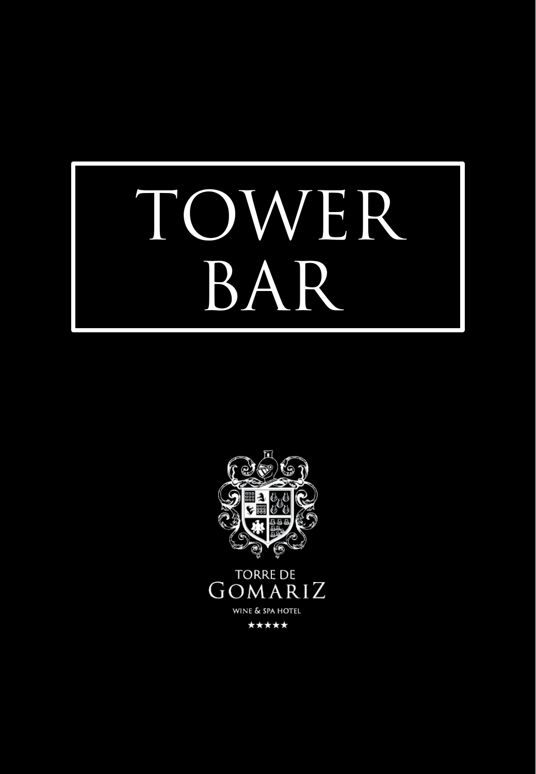

**TORRE DE** GOMARIZ WINE & SPA HOTEL \*\*\*\*\*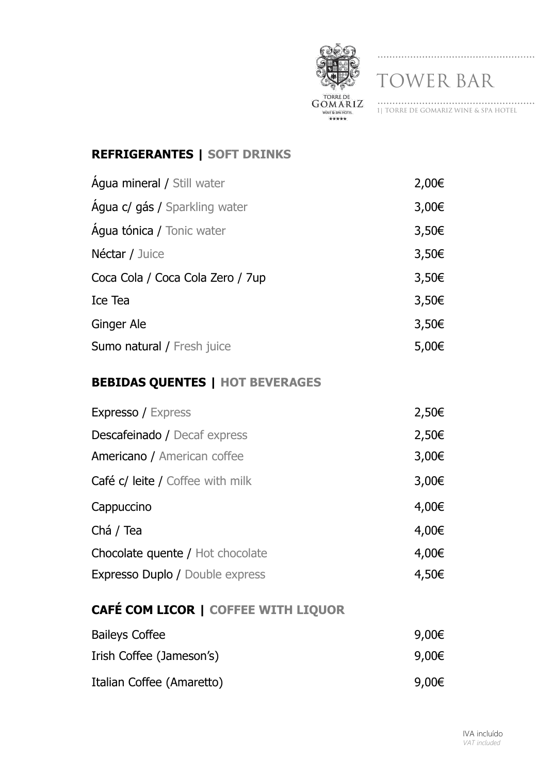

1| TORRE DE GOMARIZ WINE & SPA HOTEL

## **REFRIGERANTES | SOFT DRINKS**

| <b>Água mineral / Still water</b> | 2,00€      |
|-----------------------------------|------------|
| Agua c/ gás / Sparkling water     | 3,00€      |
| <b>Água tónica / Tonic water</b>  | 3,50€      |
| Néctar / Juice                    | 3,50€      |
| Coca Cola / Coca Cola Zero / 7up  | 3,50€      |
| Ice Tea                           | 3,50€      |
| Ginger Ale                        | 3,50€      |
| Sumo natural / Fresh juice        | $5,00 \in$ |

## **BEBIDAS QUENTES | HOT BEVERAGES**

| <b>Expresso / Express</b>              | 2,50€ |
|----------------------------------------|-------|
| Descafeinado / Decaf express           | 2,50€ |
| Americano / American coffee            | 3,00€ |
| Café c/ leite / Coffee with milk       | 3,00€ |
| Cappuccino                             | 4,00€ |
| Chá / Tea                              | 4,00€ |
| Chocolate quente / Hot chocolate       | 4,00€ |
| <b>Expresso Duplo / Double express</b> | 4,50€ |

## **CAFÉ COM LICOR | COFFEE WITH LIQUOR**

| <b>Baileys Coffee</b>     | 9,00€ |
|---------------------------|-------|
| Irish Coffee (Jameson's)  | 9,00€ |
| Italian Coffee (Amaretto) | 9,00€ |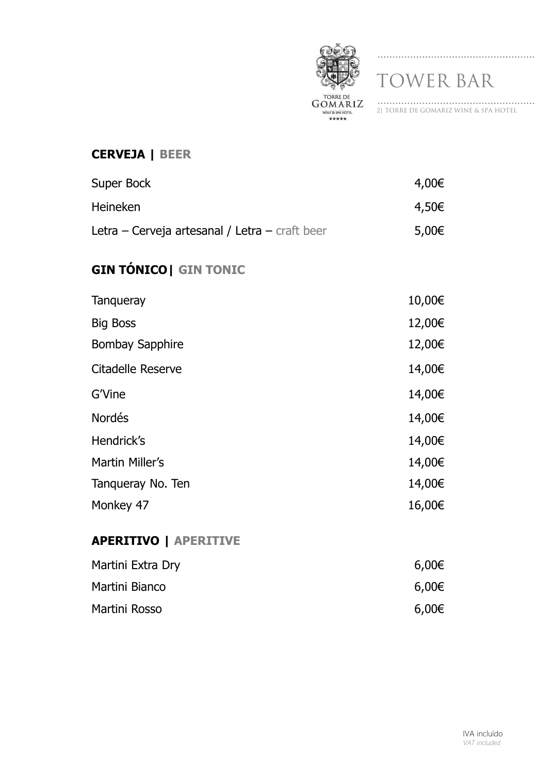

# 2| TORRE DE GOMARIZ WINE & SPA HOTEL

#### **CERVEJA | BEER**

| Super Bock                                     | 4,00€ |
|------------------------------------------------|-------|
| <b>Heineken</b>                                | 4,50€ |
| Letra – Cerveja artesanal / Letra – craft beer | 5,00€ |

# **GIN TÓNICO| GIN TONIC**

| Tangueray              | 10,00€ |
|------------------------|--------|
| <b>Big Boss</b>        | 12,00€ |
| <b>Bombay Sapphire</b> | 12,00€ |
| Citadelle Reserve      | 14,00€ |
| G'Vine                 | 14,00€ |
| <b>Nordés</b>          | 14,00€ |
| Hendrick's             | 14,00€ |
| Martin Miller's        | 14,00€ |
| Tangueray No. Ten      | 14,00€ |
| Monkey 47              | 16,00€ |
|                        |        |

#### **APERITIVO | APERITIVE**

| Martini Extra Dry | 6,00€ |
|-------------------|-------|
| Martini Bianco    | 6,00€ |
| Martini Rosso     | 6,00€ |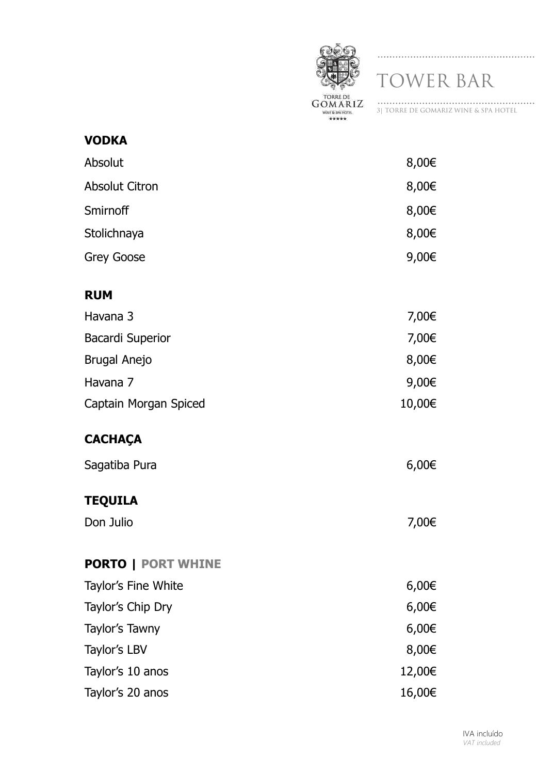

3| TORRE DE GOMARIZ WINE & SPA HOTEL

| <b>VODKA</b>              |            |
|---------------------------|------------|
| Absolut                   | 8,00€      |
| <b>Absolut Citron</b>     | 8,00€      |
| Smirnoff                  | 8,00€      |
| Stolichnaya               | 8,00€      |
| <b>Grey Goose</b>         | 9,00€      |
| <b>RUM</b>                |            |
| Havana 3                  | 7,00€      |
| <b>Bacardi Superior</b>   | 7,00€      |
| <b>Brugal Anejo</b>       | 8,00€      |
| Havana 7                  | 9,00€      |
| Captain Morgan Spiced     | 10,00€     |
| <b>CACHAÇA</b>            |            |
| Sagatiba Pura             | 6,00€      |
| <b>TEQUILA</b>            |            |
| Don Julio                 | 7,00€      |
| <b>PORTO   PORT WHINE</b> |            |
| Taylor's Fine White       | $6,00 \in$ |
| Taylor's Chip Dry         | $6,00 \in$ |
| Taylor's Tawny            | $6,00 \in$ |
| Taylor's LBV              | 8,00€      |
| Taylor's 10 anos          | 12,00€     |
| Taylor's 20 anos          | 16,00€     |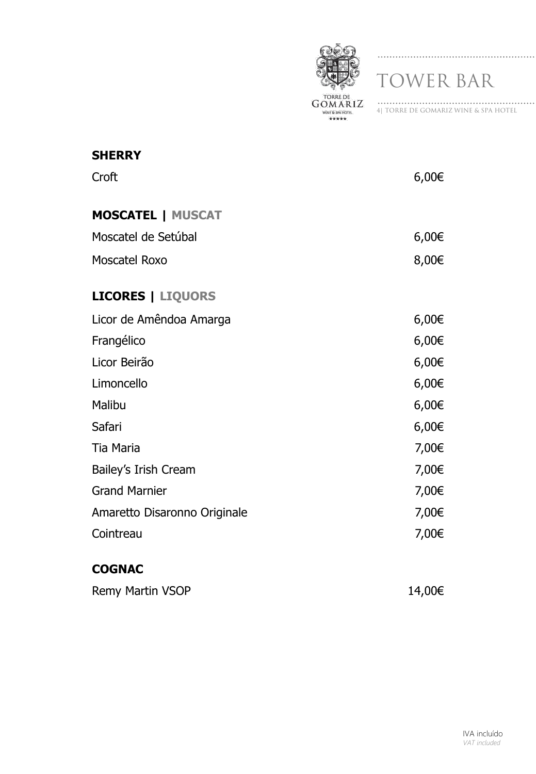

| 41 TORRE DE GOMARIZ WINE & SPA HOTEL |  |
|--------------------------------------|--|

| <b>SHERRY</b>                |       |
|------------------------------|-------|
| Croft                        | 6,00€ |
| <b>MOSCATEL   MUSCAT</b>     |       |
| Moscatel de Setúbal          | 6,00€ |
| Moscatel Roxo                | 8,00€ |
| <b>LICORES   LIQUORS</b>     |       |
| Licor de Amêndoa Amarga      | 6,00€ |
| Frangélico                   | 6,00€ |
| Licor Beirão                 | 6,00€ |
| Limoncello                   | 6,00€ |
| Malibu                       | 6,00€ |
| Safari                       | 6,00€ |
| Tia Maria                    | 7,00€ |
| Bailey's Irish Cream         | 7,00€ |
| <b>Grand Marnier</b>         | 7,00€ |
| Amaretto Disaronno Originale | 7,00€ |
| Cointreau                    | 7,00€ |
|                              |       |

## **COGNAC**

| 14,00€ |
|--------|
|        |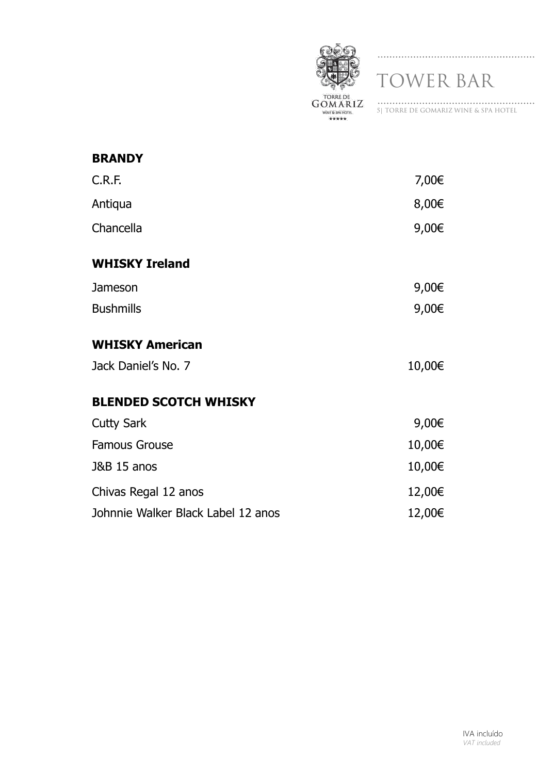

| <b>BRANDY</b>                      |        |
|------------------------------------|--------|
| C.R.F.                             | 7,00€  |
| Antiqua                            | 8,00€  |
| Chancella                          | 9,00€  |
| <b>WHISKY Ireland</b>              |        |
| Jameson                            | 9,00€  |
| <b>Bushmills</b>                   | 9,00€  |
| <b>WHISKY American</b>             |        |
| Jack Daniel's No. 7                | 10,00€ |
| <b>BLENDED SCOTCH WHISKY</b>       |        |
| <b>Cutty Sark</b>                  | 9,00€  |
| <b>Famous Grouse</b>               | 10,00€ |
| <b>J&amp;B 15 anos</b>             | 10,00€ |
| Chivas Regal 12 anos               | 12,00€ |
| Johnnie Walker Black Label 12 anos | 12,00€ |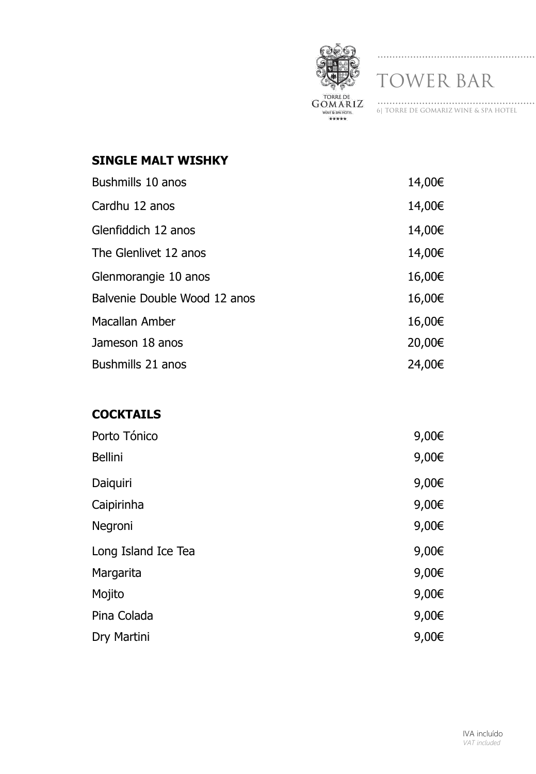

6| TORRE DE GOMARIZ WINE & SPA HOTEL

#### **SINGLE MALT WISHKY**

| Bushmills 10 anos            | 14,00€ |
|------------------------------|--------|
| Cardhu 12 anos               | 14,00€ |
| Glenfiddich 12 anos          | 14,00€ |
| The Glenlivet 12 anos        | 14,00€ |
| Glenmorangie 10 anos         | 16,00€ |
| Balvenie Double Wood 12 anos | 16,00€ |
| Macallan Amber               | 16,00€ |
| Jameson 18 anos              | 20,00€ |
| Bushmills 21 anos            | 24,00€ |

## **COCKTAILS**

| Porto Tónico        | 9,00€ |
|---------------------|-------|
| <b>Bellini</b>      | 9,00€ |
| Daiquiri            | 9,00€ |
| Caipirinha          | 9,00€ |
| Negroni             | 9,00€ |
| Long Island Ice Tea | 9,00€ |
| Margarita           | 9,00€ |
| Mojito              | 9,00€ |
| Pina Colada         | 9,00€ |
| Dry Martini         | 9,00€ |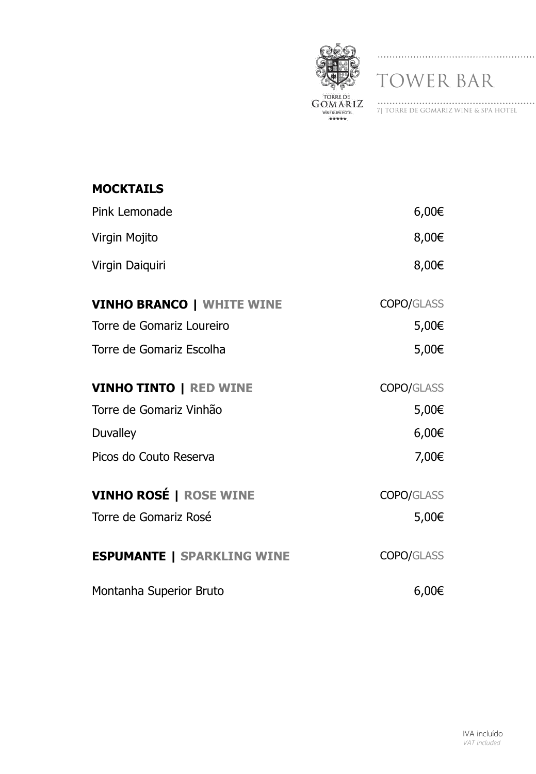

7| TORRE DE GOMARIZ WINE & SPA HOTEL

| <b>MOCKTAILS</b>                  |                   |
|-----------------------------------|-------------------|
| Pink Lemonade                     | 6,00€             |
| Virgin Mojito                     | 8,00€             |
| Virgin Daiquiri                   | 8,00€             |
| <b>VINHO BRANCO   WHITE WINE</b>  | <b>COPO/GLASS</b> |
| Torre de Gomariz Loureiro         | 5,00€             |
| Torre de Gomariz Escolha          | 5,00€             |
| <b>VINHO TINTO   RED WINE</b>     | <b>COPO/GLASS</b> |
| Torre de Gomariz Vinhão           | 5,00€             |
| <b>Duvalley</b>                   | 6,00€             |
| Picos do Couto Reserva            | 7,00€             |
| <b>VINHO ROSÉ   ROSE WINE</b>     | <b>COPO/GLASS</b> |
| Torre de Gomariz Rosé             | 5,00€             |
| <b>ESPUMANTE   SPARKLING WINE</b> | COPO/GLASS        |
| Montanha Superior Bruto           | 6,00€             |